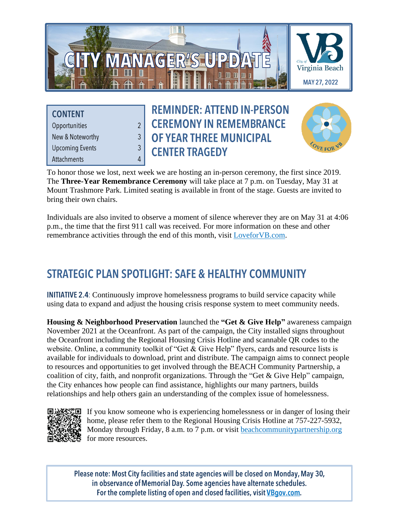

**CONTENT** Opportunities New & Noteworthy **Upcoming Events** Attachments

 $\overline{2}$ 

 $\overline{3}$ 

 $\overline{3}$ 

 $\overline{4}$ 

# **REMINDER: ATTEND IN-PERSON CEREMONY IN REMEMBRANCE** OF YEAR THREE MUNICIPAL **CENTER TRAGEDY**



To honor those we lost, next week we are hosting an in-person ceremony, the first since 2019. The **Three-Year Remembrance Ceremony** will take place at 7 p.m. on Tuesday, May 31 at Mount Trashmore Park. Limited seating is available in front of the stage. Guests are invited to bring their own chairs.

Individuals are also invited to observe a moment of silence wherever they are on May 31 at 4:06 p.m., the time that the first 911 call was received. For more information on these and other remembrance activities through the end of this month, visit [LoveforVB.com.](https://loveforvb.com/remembrance/2022-events)

# **STRATEGIC PLAN SPOTLIGHT: SAFE & HEALTHY COMMUNITY**

**INITIATIVE 2.4:** Continuously improve homelessness programs to build service capacity while using data to expand and adjust the housing crisis response system to meet community needs.

**Housing & Neighborhood Preservation** launched the **"Get & Give Help"** awareness campaign November 2021 at the Oceanfront. As part of the campaign, the City installed signs throughout the Oceanfront including the Regional Housing Crisis Hotline and scannable QR codes to the website. Online, a community toolkit of "Get & Give Help" flyers, cards and resource lists is available for individuals to download, print and distribute. The campaign aims to connect people to resources and opportunities to get involved through the BEACH Community Partnership, a coalition of city, faith, and nonprofit organizations. Through the "Get & Give Help" campaign, the City enhances how people can find assistance, highlights our many partners, builds relationships and help others gain an understanding of the complex issue of homelessness.



If you know someone who is experiencing homelessness or in danger of losing their home, please refer them to the Regional Housing Crisis Hotline at 757-227-5932, Monday through Friday, 8 a.m. to 7 p.m. or visit [beachcommunitypartnership.org](http://www.beachcommunitypartnership.org/) for more resources.

Please note: Most City facilities and state agencies will be closed on Monday, May 30, in observance of Memorial Day. Some agencies have alternate schedules. For the complete listing of open and closed facilities, visit VBgov.com.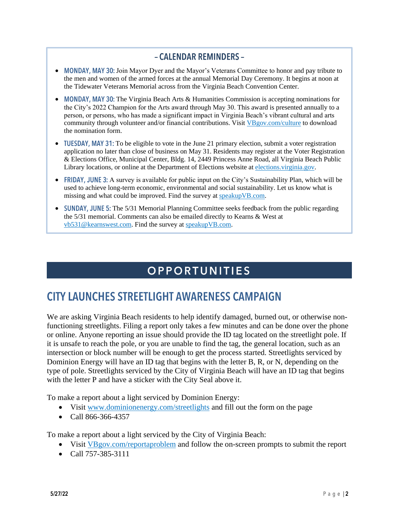#### - CALENDAR REMINDERS -

- MONDAY, MAY 30: Join Mayor Dyer and the Mayor's Veterans Committee to honor and pay tribute to the men and women of the armed forces at the annual Memorial Day Ceremony. It begins at noon at the Tidewater Veterans Memorial across from the Virginia Beach Convention Center.
- MONDAY, MAY 30: The Virginia Beach Arts & Humanities Commission is accepting nominations for the City's 2022 Champion for the Arts award through May 30. This award is presented annually to a person, or persons, who has made a significant impact in Virginia Beach's vibrant cultural and arts community through volunteer and/or financial contributions. Visit [VBgov.com/culture](https://www.vbgov.com/culture) to download the nomination form.
- TUESDAY, MAY 31: To be eligible to vote in the June 21 primary election, submit a voter registration application no later than close of business on May 31. Residents may register at the Voter Registration & Elections Office, Municipal Center, Bldg. 14, 2449 Princess Anne Road, all Virginia Beach Public Library locations, or online at the Department of Elections website a[t elections.virginia.gov.](https://www.elections.virginia.gov/)
- FRIDAY, JUNE 3: A survey is available for public input on the City's Sustainability Plan, which will be used to achieve long-term economic, environmental and social sustainability. Let us know what is missing and what could be improved. Find the survey a[t speakupVB.com.](http://www.speakupvb.com/)
- SUNDAY, JUNE 5: The  $5/31$  Memorial Planning Committee seeks feedback from the public regarding the 5/31 memorial. Comments can also be emailed directly to Kearns & West at [vb531@kearnswest.com.](mailto:vb531@kearnswest.com) Find the survey at [speakupVB.com.](http://www.speakupvb.com/)

# **OPPORTUNITIES**

## **CITY LAUNCHES STREETLIGHT AWARENESS CAMPAIGN**

We are asking Virginia Beach residents to help identify damaged, burned out, or otherwise nonfunctioning streetlights. Filing a report only takes a few minutes and can be done over the phone or online. Anyone reporting an issue should provide the ID tag located on the streetlight pole. If it is unsafe to reach the pole, or you are unable to find the tag, the general location, such as an intersection or block number will be enough to get the process started. Streetlights serviced by Dominion Energy will have an ID tag that begins with the letter B, R, or N, depending on the type of pole. Streetlights serviced by the City of Virginia Beach will have an ID tag that begins with the letter P and have a sticker with the City Seal above it.

To make a report about a light serviced by Dominion Energy:

- Visit [www.dominionenergy.com/streetlights](https://www.dominionenergy.com/streetlights) and fill out the form on the page
- Call 866-366-4357

To make a report about a light serviced by the City of Virginia Beach:

- Visit [VBgov.com/reportaproblem](https://www.vbgov.com/reportaproblem) and follow the on-screen prompts to submit the report
- Call 757-385-3111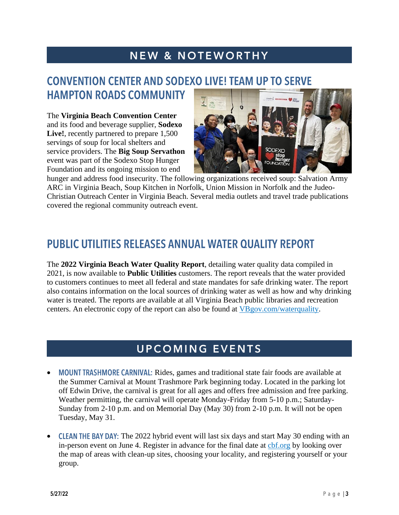# **NEW & NOTEWORTHY**

#### **CONVENTION CENTER AND SODEXO LIVE! TEAM UP TO SERVE HAMPTON ROADS COMMUNITY**

The **Virginia Beach Convention Center** and its food and beverage supplier, **Sodexo Live!**, recently partnered to prepare 1,500 servings of soup for local shelters and service providers. The **Big Soup Servathon** event was part of the Sodexo Stop Hunger Foundation and its ongoing mission to end



hunger and address food insecurity. The following organizations received soup: Salvation Army ARC in Virginia Beach, Soup Kitchen in Norfolk, Union Mission in Norfolk and the Judeo-Christian Outreach Center in Virginia Beach. Several media outlets and travel trade publications covered the regional community outreach event.

### **PUBLIC UTILITIES RELEASES ANNUAL WATER QUALITY REPORT**

The **2022 Virginia Beach Water Quality Report**, detailing water quality data compiled in 2021, is now available to **Public Utilities** customers. The report reveals that the water provided to customers continues to meet all federal and state mandates for safe drinking water. The report also contains information on the local sources of drinking water as well as how and why drinking water is treated. The reports are available at all Virginia Beach public libraries and recreation centers. An electronic copy of the report can also be found at [VBgov.com/waterquality.](http://www.vbgov.com/waterquality)

## **UPCOMING EVENTS**

- MOUNT TRASHMORE CARNIVAL: Rides, games and traditional state fair foods are available at the Summer Carnival at Mount Trashmore Park beginning today. Located in the parking lot off Edwin Drive, the carnival is great for all ages and offers free admission and free parking. Weather permitting, the carnival will operate Monday-Friday from 5-10 p.m.; Saturday-Sunday from 2-10 p.m. and on Memorial Day (May 30) from 2-10 p.m. It will not be open Tuesday, May 31.
- CLEAN THE BAY DAY: The 2022 hybrid event will last six days and start May 30 ending with an in-person event on June 4. Register in advance for the final date at [cbf.org](https://www.cbf.org/) by looking over the map of areas with clean-up sites, choosing your locality, and registering yourself or your group.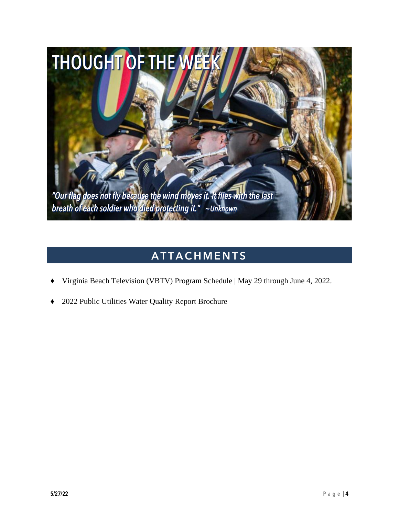

### **ATTACHMENTS**

- Virginia Beach Television (VBTV) Program Schedule | May 29 through June 4, 2022.
- 2022 Public Utilities Water Quality Report Brochure